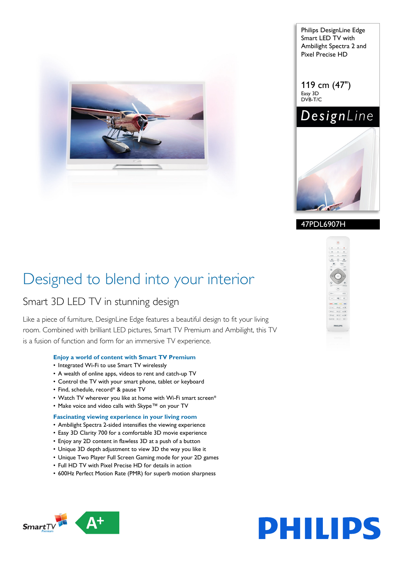

Philips DesignLine Edge Smart LED TV with Ambilight Spectra 2 and Pixel Precise HD

119 cm (47") Easy 3D DVB-T/C





# 47PDL6907H

# Designed to blend into your interior

# Smart 3D LED TV in stunning design

Like a piece of furniture, DesignLine Edge features a beautiful design to fit your living room. Combined with brilliant LED pictures, Smart TV Premium and Ambilight, this TV is a fusion of function and form for an immersive TV experience.

# **Enjoy a world of content with Smart TV Premium**

- Integrated Wi-Fi to use Smart TV wirelessly
- A wealth of online apps, videos to rent and catch-up TV
- Control the TV with your smart phone, tablet or keyboard
- Find, schedule, record\* & pause TV
- Watch TV wherever you like at home with Wi-Fi smart screen\*
- Make voice and video calls with Skype™ on your TV

# **Fascinating viewing experience in your living room**

- Ambilight Spectra 2-sided intensifies the viewing experience
- Easy 3D Clarity 700 for a comfortable 3D movie experience
- Enjoy any 2D content in flawless 3D at a push of a button
- Unique 3D depth adjustment to view 3D the way you like it
- Unique Two Player Full Screen Gaming mode for your 2D games
- Full HD TV with Pixel Precise HD for details in action
- 600Hz Perfect Motion Rate (PMR) for superb motion sharpness





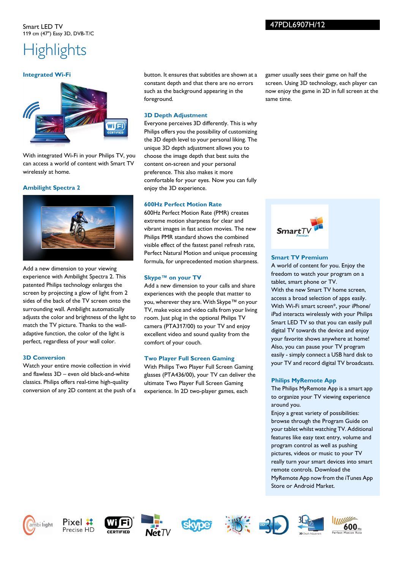# **Highlights**

### **Integrated Wi-Fi**



With integrated Wi-Fi in your Philips TV, you can access a world of content with Smart TV wirelessly at home.

### **Ambilight Spectra 2**



Add a new dimension to your viewing experience with Ambilight Spectra 2. This patented Philips technology enlarges the screen by projecting a glow of light from 2 sides of the back of the TV screen onto the surrounding wall. Ambilight automatically adjusts the color and brightness of the light to match the TV picture. Thanks to the walladaptive function, the color of the light is perfect, regardless of your wall color.

# **3D Conversion**

Watch your entire movie collection in vivid and flawless 3D – even old black-and-white classics. Philips offers real-time high-quality conversion of any 2D content at the push of a button. It ensures that subtitles are shown at a constant depth and that there are no errors such as the background appearing in the foreground.

# **3D Depth Adjustment**

Everyone perceives 3D differently. This is why Philips offers you the possibility of customizing the 3D depth level to your personal liking. The unique 3D depth adjustment allows you to choose the image depth that best suits the content on-screen and your personal preference. This also makes it more comfortable for your eyes. Now you can fully enjoy the 3D experience.

# **600Hz Perfect Motion Rate**

600Hz Perfect Motion Rate (PMR) creates extreme motion sharpness for clear and vibrant images in fast action movies. The new Philips PMR standard shows the combined visible effect of the fastest panel refresh rate, Perfect Natural Motion and unique processing formula, for unprecedented motion sharpness.

# **Skype™ on your TV**

Add a new dimension to your calls and share experiences with the people that matter to you, wherever they are. With Skype™ on your TV, make voice and video calls from your living room. Just plug in the optional Philips TV camera (PTA317/00) to your TV and enjoy excellent video and sound quality from the comfort of your couch.

# **Two Player Full Screen Gaming**

With Philips Two Player Full Screen Gaming glasses (PTA436/00), your TV can deliver the ultimate Two Player Full Screen Gaming experience. In 2D two-player games, each

gamer usually sees their game on half the screen. Using 3D technology, each player can now enjoy the game in 2D in full screen at the same time.



# **Smart TV Premium**

A world of content for you. Enjoy the freedom to watch your program on a tablet, smart phone or TV. With the new Smart TV home screen, access a broad selection of apps easily. With Wi-Fi smart screen\*, your iPhone/ iPad interacts wirelessly with your Philips Smart LED TV so that you can easily pull digital TV towards the device and enjoy your favorite shows anywhere at home! Also, you can pause your TV program easily - simply connect a USB hard disk to your TV and record digital TV broadcasts.

# **Philips MyRemote App**

The Philips MyRemote App is a smart app to organize your TV viewing experience around you.

Enjoy a great variety of possibilities: browse through the Program Guide on your tablet whilst watching TV. Additional features like easy text entry, volume and program control as well as pushing pictures, videos or music to your TV really turn your smart devices into smart remote controls. Download the MyRemote App now from the iTunes App Store or Android Market.